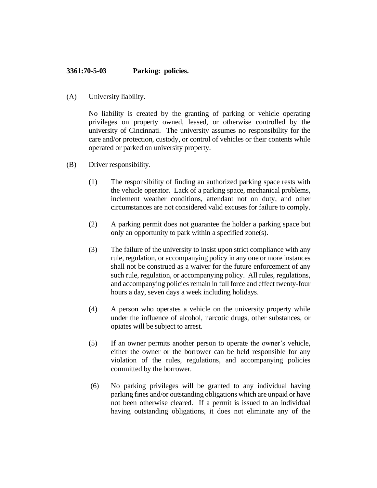## **3361:70-5-03 Parking: policies.**

(A) University liability.

No liability is created by the granting of parking or vehicle operating privileges on property owned, leased, or otherwise controlled by the university of Cincinnati. The university assumes no responsibility for the care and/or protection, custody, or control of vehicles or their contents while operated or parked on university property.

- (B) Driver responsibility.
	- (1) The responsibility of finding an authorized parking space rests with the vehicle operator. Lack of a parking space, mechanical problems, inclement weather conditions, attendant not on duty, and other circumstances are not considered valid excuses for failure to comply.
	- (2) A parking permit does not guarantee the holder a parking space but only an opportunity to park within a specified zone(s).
	- (3) The failure of the university to insist upon strict compliance with any rule, regulation, or accompanying policy in any one or more instances shall not be construed as a waiver for the future enforcement of any such rule, regulation, or accompanying policy. All rules, regulations, and accompanying policies remain in full force and effect twenty-four hours a day, seven days a week including holidays.
	- (4) A person who operates a vehicle on the university property while under the influence of alcohol, narcotic drugs, other substances, or opiates will be subject to arrest.
	- (5) If an owner permits another person to operate the owner's vehicle, either the owner or the borrower can be held responsible for any violation of the rules, regulations, and accompanying policies committed by the borrower.
	- (6) No parking privileges will be granted to any individual having parking fines and/or outstanding obligations which are unpaid or have not been otherwise cleared. If a permit is issued to an individual having outstanding obligations, it does not eliminate any of the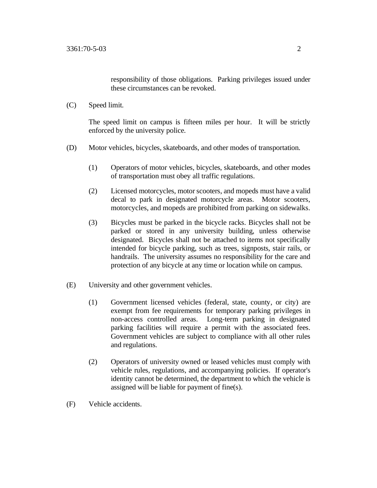responsibility of those obligations. Parking privileges issued under these circumstances can be revoked.

(C) Speed limit.

The speed limit on campus is fifteen miles per hour. It will be strictly enforced by the university police.

- (D) Motor vehicles, bicycles, skateboards, and other modes of transportation.
	- (1) Operators of motor vehicles, bicycles, skateboards, and other modes of transportation must obey all traffic regulations.
	- (2) Licensed motorcycles, motor scooters, and mopeds must have a valid decal to park in designated motorcycle areas. Motor scooters, motorcycles, and mopeds are prohibited from parking on sidewalks.
	- (3) Bicycles must be parked in the bicycle racks. Bicycles shall not be parked or stored in any university building, unless otherwise designated. Bicycles shall not be attached to items not specifically intended for bicycle parking, such as trees, signposts, stair rails, or handrails. The university assumes no responsibility for the care and protection of any bicycle at any time or location while on campus.
- (E) University and other government vehicles.
	- (1) Government licensed vehicles (federal, state, county, or city) are exempt from fee requirements for temporary parking privileges in non-access controlled areas. Long-term parking in designated parking facilities will require a permit with the associated fees. Government vehicles are subject to compliance with all other rules and regulations.
	- (2) Operators of university owned or leased vehicles must comply with vehicle rules, regulations, and accompanying policies. If operator's identity cannot be determined, the department to which the vehicle is assigned will be liable for payment of fine(s).
- (F) Vehicle accidents.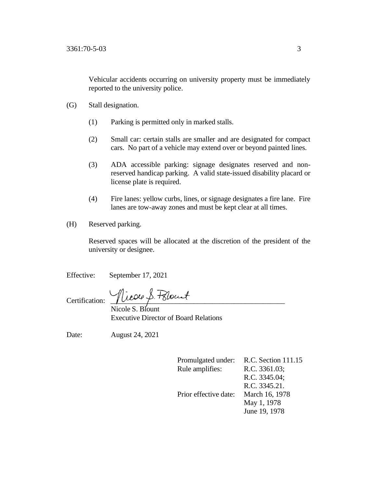Vehicular accidents occurring on university property must be immediately reported to the university police.

- (G) Stall designation.
	- (1) Parking is permitted only in marked stalls.
	- (2) Small car: certain stalls are smaller and are designated for compact cars. No part of a vehicle may extend over or beyond painted lines.
	- (3) ADA accessible parking: signage designates reserved and nonreserved handicap parking. A valid state-issued disability placard or license plate is required.
	- (4) Fire lanes: yellow curbs, lines, or signage designates a fire lane. Fire lanes are tow-away zones and must be kept clear at all times.
- (H) Reserved parking.

Reserved spaces will be allocated at the discretion of the president of the university or designee.

Effective: September 17, 2021

Certification: Nicole S. Filount

 Nicole S. Blount Executive Director of Board Relations

Date: August 24, 2021

Promulgated under: R.C. Section 111.15 Rule amplifies: R.C. 3361.03; R.C. 3345.04; R.C. 3345.21. Prior effective date: March 16, 1978 May 1, 1978 June 19, 1978